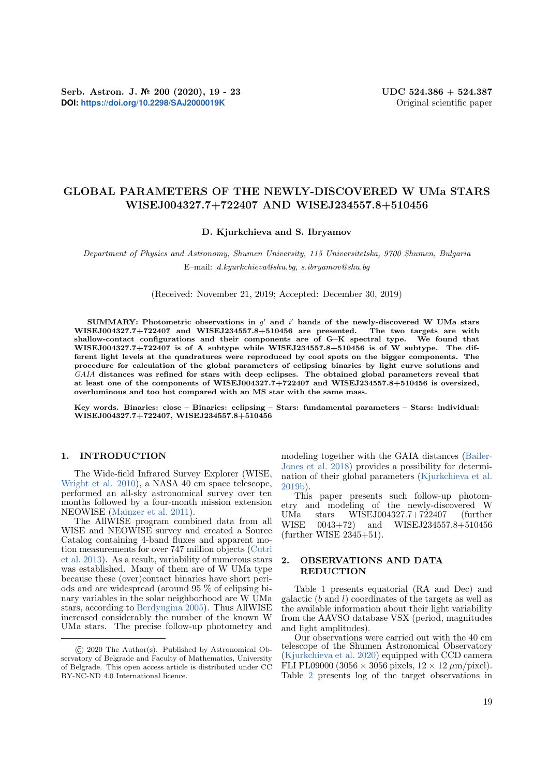# GLOBAL PARAMETERS OF THE NEWLY-DISCOVERED W UMa STARS WISEJ004327.7+722407 AND WISEJ234557.8+510456

## D. Kjurkchieva and S. Ibryamov

Department of Physics and Astronomy, Shumen University, 115 Universitetska, 9700 Shumen, Bulgaria E–mail: d.kyurkchieva@shu.bg, s.ibryamov@shu.bg

(Received: November 21, 2019; Accepted: December 30, 2019)

SUMMARY: Photometric observations in  $g'$  and  $i'$  bands of the newly-discovered W UMa stars WISEJ004327.7+722407 and WISEJ234557.8+510456 are presented. The two targets are with shallow-contact configurations and their components are of G–K spectral type. We found that WISEJ004327.7+722407 is of A subtype while WISEJ234557.8+510456 is of W subtype. The different light levels at the quadratures were reproduced by cool spots on the bigger components. The procedure for calculation of the global parameters of eclipsing binaries by light curve solutions and GAIA distances was refined for stars with deep eclipses. The obtained global parameters reveal that at least one of the components of WISEJ004327.7+722407 and WISEJ234557.8+510456 is oversized, overluminous and too hot compared with an MS star with the same mass.

Key words. Binaries: close – Binaries: eclipsing – Stars: fundamental parameters – Stars: individual: WISEJ004327.7+722407, WISEJ234557.8+510456

## 1. INTRODUCTION

The Wide-field Infrared Survey Explorer (WISE, [Wright et al.](#page-4-0) [2010\)](#page-4-0), a NASA 40 cm space telescope, performed an all-sky astronomical survey over ten months followed by a four-month mission extension NEOWISE [\(Mainzer et al.](#page-4-1) [2011\)](#page-4-1).

The AllWISE program combined data from all WISE and NEOWISE survey and created a Source Catalog containing 4-band fluxes and apparent motion measurements for over 747 million objects [\(Cutri](#page-4-2) [et al.](#page-4-2) [2013\)](#page-4-2). As a result, variability of numerous stars was established. Many of them are of W UMa type because these (over)contact binaries have short periods and are widespread (around 95 % of eclipsing binary variables in the solar neighborhood are W UMa stars, according to [Berdyugina](#page-4-3) [2005\)](#page-4-3). Thus AllWISE increased considerably the number of the known W UMa stars. The precise follow-up photometry and

modeling together with the GAIA distances [\(Bailer-](#page-4-4)[Jones et al.](#page-4-4) [2018\)](#page-4-4) provides a possibility for determination of their global parameters [\(Kjurkchieva et al.](#page-4-5) [2019b\)](#page-4-5).

This paper presents such follow-up photometry and modeling of the newly-discovered W UMa stars WISEJ004327.7+722407 (further WISE 0043+72) and WISEJ234557.8+510456 (further WISE 2345+51).

## 2. OBSERVATIONS AND DATA **REDUCTION**

Table [1](#page-1-0) presents equatorial (RA and Dec) and galactic  $(b \text{ and } l)$  coordinates of the targets as well as the available information about their light variability from the AAVSO database VSX (period, magnitudes and light amplitudes).

Our observations were carried out with the 40 cm telescope of the Shumen Astronomical Observatory [\(Kjurkchieva et al.](#page-4-6) [2020\)](#page-4-6) equipped with CCD camera FLI PL09000 (3056  $\times$  3056 pixels,  $12 \times 12 \ \mu m/\text{pixel}$ ). Table [2](#page-1-1) presents log of the target observations in

<sup>©</sup> 2020 The Author(s). Published by Astronomical Observatory of Belgrade and Faculty of Mathematics, University of Belgrade. This open access article is distributed under CC BY-NC-ND 4.0 International licence.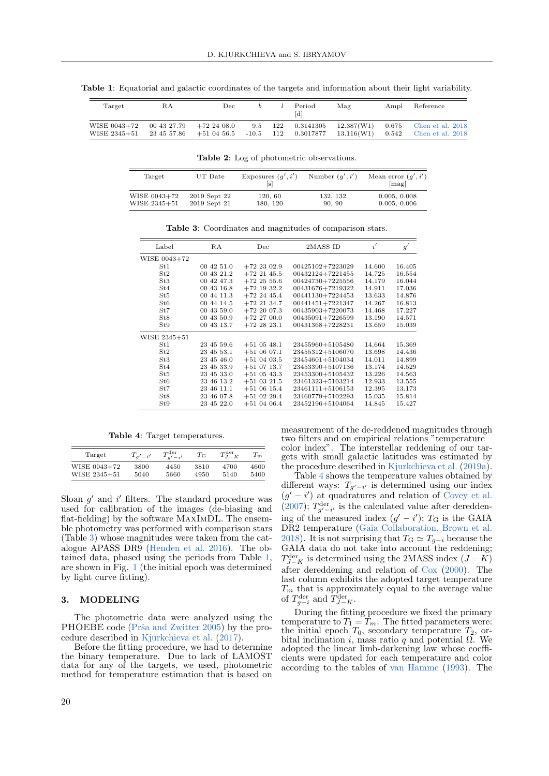| Target                       | RA          | Dec.                                                 | <sub>b</sub> | Period | Mag | Ampl Reference                                                                                                 |
|------------------------------|-------------|------------------------------------------------------|--------------|--------|-----|----------------------------------------------------------------------------------------------------------------|
| WISE 0043+72<br>WISE 2345+51 | 00 43 27.79 | $+722408.0$<br>$23\;45\;57.86\quad \  +51\;04\;56.5$ |              |        |     | 9.5 122 0.3141305 12.387(W1) 0.675 Chen et al. 2018<br>$-10.5$ 112 0.3017877 13.116(W1) 0.542 Chen et al. 2018 |

<span id="page-1-0"></span>Table 1: Equatorial and galactic coordinates of the targets and information about their light variability.

<span id="page-1-1"></span>Table 2: Log of photometric observations.

| Target       | UT Date      | Exposures $(q', i')$ | Number $(q', i')$ | Mean error $(q', i')$<br>[mag] |
|--------------|--------------|----------------------|-------------------|--------------------------------|
| WISE 0043+72 | 2019 Sept 22 | 120, 60              | 132, 132          | 0.005, 0.008                   |
| WISE 2345+51 | 2019 Sept 21 | 180, 120             | 90.90             | 0.005, 0.006                   |

<span id="page-1-2"></span>Table 3: Coordinates and magnitudes of comparison stars.

| Label           | RA         | Dec           | 2MASS ID         | i'     | g'     |
|-----------------|------------|---------------|------------------|--------|--------|
| WISE 0043+72    |            |               |                  |        |        |
| St1             | 00 42 51.0 | $+72$ 23 02.9 | 00425102+7223029 | 14.600 | 16.405 |
| St2             | 00 43 21.2 | $+72$ 21 45.5 | 00432124+7221455 | 14.725 | 16.554 |
| St3             | 00 42 47.3 | $+72$ 25 55.6 | 00424730+7225556 | 14.179 | 16.044 |
| St4             | 00 43 16.8 | $+72$ 19 32.2 | 00431676+7219322 | 14.911 | 17.036 |
| St <sub>5</sub> | 00 44 11.3 | $+72$ 24 45.4 | 00441130+7224453 | 13.633 | 14.876 |
| St6             | 00 44 14.5 | $+72$ 21 34.7 | 00441451+7221347 | 14.267 | 16.813 |
| St7             | 00 43 59.0 | $+722007.3$   | 00435903+7220073 | 14.468 | 17.227 |
| St <sub>8</sub> | 00 43 50.9 | $+722700.0$   | 00435091+7226599 | 13.190 | 14.571 |
| St9             | 00 43 13.7 | $+722823.1$   | 00431368+7228231 | 13.659 | 15.039 |
| WISE 2345+51    |            |               |                  |        |        |
| St1             | 23 45 59.6 | $+51$ 05 48.1 | 23455960+5105480 | 14.664 | 15.369 |
| St2             | 23 45 53.1 | $+510607.1$   | 23455312+5106070 | 13.698 | 14.436 |
| St3             | 23 45 46.0 | $+51$ 04 03.5 | 23454601+5104034 | 14.011 | 14.899 |
| St4             | 23 45 33.9 | $+51$ 07 13.7 | 23453390+5107136 | 13.174 | 14.529 |
| St5             | 23 45 33.0 | $+51$ 05 43.3 | 23453300+5105432 | 13.226 | 14.563 |
| St6             | 23 46 13.2 | $+51$ 03 21.5 | 23461323+5103214 | 12.933 | 13.555 |
| St7             | 23 46 11.1 | $+510615.4$   | 23461111+5106153 | 12.395 | 13.173 |
| St8             | 23 46 07.8 | $+51$ 02 29.4 | 23460779+5102293 | 15.035 | 15.814 |
| St9             | 23 45 22.0 | $+51$ 04 06.4 | 23452196+5104064 | 14.845 | 15.427 |
|                 |            |               |                  |        |        |

<span id="page-1-3"></span>Table 4: Target temperatures.

| Target       | $T_{a'-i'}$ | $T_{a'-i'}^{\text{der}}$ | $T_{\mathrm{G}}$ | $T_{J-K}^{\text{der}}$ | $T_{\rm m}$ |
|--------------|-------------|--------------------------|------------------|------------------------|-------------|
| WISE 0043+72 | 3800        | 4450                     | 3810             | 4700                   | 4600        |
| WISE 2345+51 | 5040        | 5660                     | 4950             | 5140                   | 5400        |

Sloan  $g'$  and  $i'$  filters. The standard procedure was used for calibration of the images (de-biasing and flat-fielding) by the software MaxImDL. The ensemble photometry was performed with comparison stars (Table [3\)](#page-1-2) whose magnitudes were taken from the catalogue APASS DR9 [\(Henden et al.](#page-4-8) [2016\)](#page-4-8). The obtained data, phased using the periods from Table [1,](#page-1-0) are shown in Fig. [1](#page-2-0) (the initial epoch was determined by light curve fitting).

### 3. MODELING

The photometric data were analyzed using the PHOEBE code (Prša and Zwitter [2005\)](#page-4-9) by the procedure described in [Kjurkchieva et al.](#page-4-10) [\(2017\)](#page-4-10).

Before the fitting procedure, we had to determine the binary temperature. Due to lack of LAMOST data for any of the targets, we used, photometric method for temperature estimation that is based on

measurement of the de-reddened magnitudes through two filters and on empirical relations "temperature – color index". The interstellar reddening of our targets with small galactic latitudes was estimated by the procedure described in [Kjurkchieva et al.](#page-4-11) [\(2019a\)](#page-4-11).

Table [4](#page-1-3) shows the temperature values obtained by different ways:  $T_{g'-i'}$  is determined using our index  $(g' - i')$  at quadratures and relation of [Covey et al.](#page-4-12) [\(2007\)](#page-4-12);  $T_{g'-i'}^{\text{der}}$  is the calculated value after dereddening of the measured index  $(g'-i')$ ;  $T<sub>G</sub>$  is the GAIA DR2 temperature [\(Gaia Collaboration, Brown et al.](#page-4-13) [2018\)](#page-4-13). It is not surprising that  $T_{\rm G} \simeq T_{g-i}$  because the GAIA data do not take into account the reddening;  $T^{\text{der}}_{J-K}$  is determined using the 2MASS index  $(J - K)$ after dereddening and relation of [Cox](#page-4-14) [\(2000\)](#page-4-14). The last column exhibits the adopted target temperature  $T_m$  that is approximately equal to the average value of  $T_{g-i}^{\text{der}}$  and  $T_{J-K}^{\text{der}}$ .

During the fitting procedure we fixed the primary temperature to  $T_1 = T_m$ . The fitted parameters were: the initial epoch  $T_0$ , secondary temperature  $T_2$ , orbital inclination *i*, mass ratio q and potential  $Ω$ . We adopted the linear limb-darkening law whose coefficients were updated for each temperature and color according to the tables of [van Hamme](#page-4-15) [\(1993\)](#page-4-15). The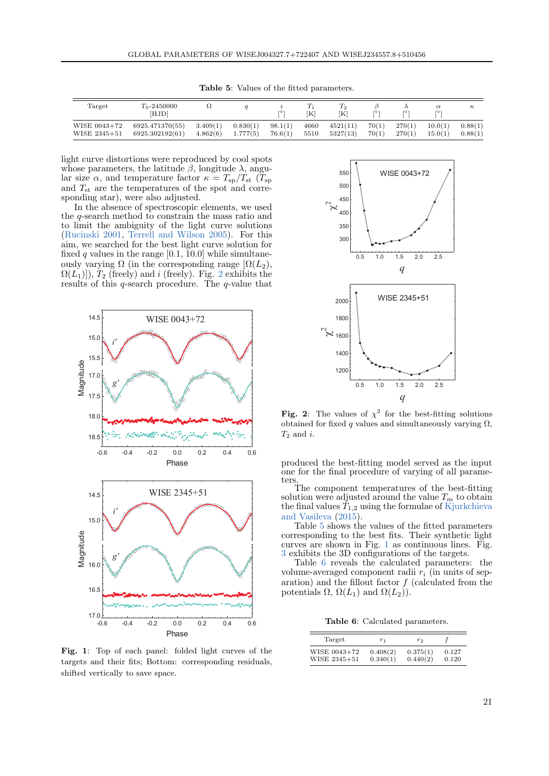| Target       | $T_0 - 2450000$<br>[HJD] |          |          | ro:     | ΓKΙ  | 12<br>ſΚl | ro 1  | го     | $\alpha$<br>ro: | $\kappa$ |
|--------------|--------------------------|----------|----------|---------|------|-----------|-------|--------|-----------------|----------|
| WISE 0043+72 | 6925.471370(55)          | 3.409(1) | 0.830(1) | 98.1(1) | 4660 | 4521(11)  | 70(1) | 270(1) | 10.0(1)         | 0.88(1)  |
| WISE 2345+51 | 6925.302192(61)          | 4.862(6) | 1.777(5) | 76.6(1) | 5510 | 5327(13)  | 70(1) | 270(1) | 15.0(1)         | 0.88(1)  |

<span id="page-2-2"></span>Table 5: Values of the fitted parameters.

light curve distortions were reproduced by cool spots whose parameters, the latitude  $\beta$ , longitude  $\lambda$ , angular size  $\alpha$ , and temperature factor  $\kappa = T_{sp}/T_{st}$  ( $T_{sp}$ ) and  $T_{\rm st}$  are the temperatures of the spot and corresponding star), were also adjusted.

In the absence of spectroscopic elements, we used the q-search method to constrain the mass ratio and to limit the ambiguity of the light curve solutions [\(Rucinski](#page-4-16) [2001,](#page-4-16) [Terrell and Wilson](#page-4-17) [2005\)](#page-4-17). For this aim, we searched for the best light curve solution for fixed  $q$  values in the range [0.1, 10.0] while simultaneously varying  $\Omega$  (in the corresponding range  $[\Omega(L_2)]$ ,  $\Omega(L_1)$ ),  $T_2$  $T_2$  (freely) and i (freely). Fig. 2 exhibits the results of this  $q$ -search procedure. The  $q$ -value that



<span id="page-2-0"></span>Fig. 1: Top of each panel: folded light curves of the targets and their fits; Bottom: corresponding residuals, shifted vertically to save space.



<span id="page-2-1"></span>Fig. 2: The values of  $\chi^2$  for the best-fitting solutions obtained for fixed  $q$  values and simultaneously varying  $\Omega$ ,  $T_2$  and i.

produced the best-fitting model served as the input one for the final procedure of varying of all parameters.

The component temperatures of the best-fitting solution were adjusted around the value  $T_m$  to obtain the final values  $T_{1,2}$  using the formulae of [Kjurkchieva](#page-4-18) [and Vasileva](#page-4-18) [\(2015\)](#page-4-18).

Table [5](#page-2-2) shows the values of the fitted parameters corresponding to the best fits. Their synthetic light curves are shown in Fig. [1](#page-2-0) as continuous lines. Fig. [3](#page-3-0) exhibits the 3D configurations of the targets.

Table [6](#page-2-3) reveals the calculated parameters: the volume-averaged component radii  $r_i$  (in units of separation) and the fillout factor  $f$  (calculated from the potentials  $\Omega$ ,  $\Omega(L_1)$  and  $\Omega(L_2)$ ).

<span id="page-2-3"></span>Table 6: Calculated parameters.

| Target       | $r_1$    | r <sub>2</sub> |       |  |
|--------------|----------|----------------|-------|--|
| WISE 0043+72 | 0.408(2) | 0.375(1)       | 0.127 |  |
| WISE 2345+51 | 0.340(1) | 0.440(2)       | 0.120 |  |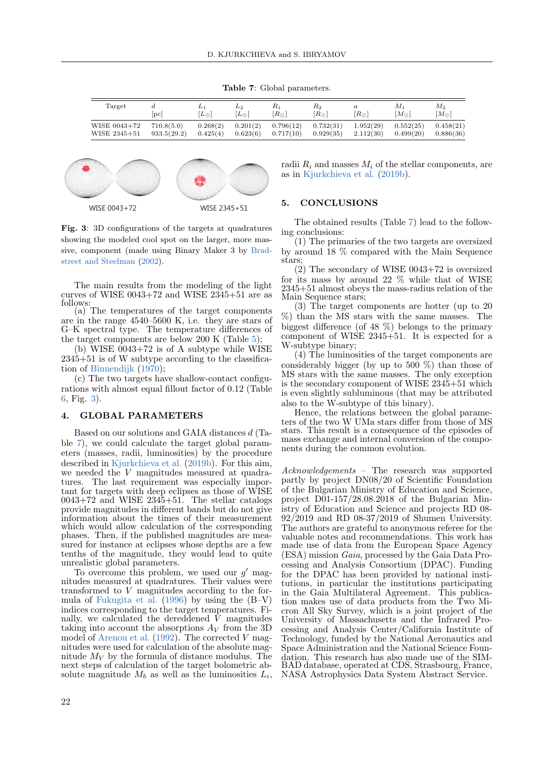<span id="page-3-1"></span>Table 7: Global parameters.

| $\operatorname{Target}$ | $_{\rm pc}$ | $ L_{\odot} $ | $L_2$<br>$ L_{\odot} $ | $\kappa_1$<br>$R_{\odot}$ | $\scriptstyle{\rm R_2}$<br>$ R_{\odot} $ | a<br>$[R_{\odot}]$ | М1<br>$[M_{\odot}]$ | M2<br>$[M_{\odot}]$ |
|-------------------------|-------------|---------------|------------------------|---------------------------|------------------------------------------|--------------------|---------------------|---------------------|
| WISE 0043+72            | 710.8(5.0)  | 0.268(2)      | 0.201(2)               | 0.796(12)                 | 0.732(31)                                | 1.952(29)          | 0.552(25)           | 0.458(21)           |
| WISE 2345+51            | 933.5(29.2) | 0.425(4)      | 0.623(6)               | 0.717(10)                 | 0.929(35)                                | 2.112(30)          | 0.499(20)           | 0.886(36)           |



<span id="page-3-0"></span>Fig. 3: 3D configurations of the targets at quadratures showing the modeled cool spot on the larger, more massive, component (made using Binary Maker 3 by [Brad](#page-4-19)[street and Steelman](#page-4-19) [\(2002\)](#page-4-19).

The main results from the modeling of the light curves of WISE  $0043+72$  and WISE  $2345+51$  are as follows:

(a) The temperatures of the target components are in the range 4540–5600 K, i.e. they are stars of G–K spectral type. The temperature differences of the target components are below 200 K (Table [5\)](#page-2-2);

(b) WISE 0043+72 is of A subtype while WISE  $2345+51$  is of W subtype according to the classification of [Binnendijk](#page-4-20) [\(1970\)](#page-4-20);

(c) The two targets have shallow-contact configurations with almost equal fillout factor of 0.12 (Table [6,](#page-2-3) Fig. [3\)](#page-3-0).

#### 4. GLOBAL PARAMETERS

Based on our solutions and GAIA distances d (Table [7\)](#page-3-1), we could calculate the target global parameters (masses, radii, luminosities) by the procedure described in [Kjurkchieva et al.](#page-4-5) [\(2019b\)](#page-4-5). For this aim, we needed the V magnitudes measured at quadratures. The last requirement was especially important for targets with deep eclipses as those of WISE  $0043+72$  and WISE  $2345+51$ . The stellar catalogs provide magnitudes in different bands but do not give information about the times of their measurement which would allow calculation of the corresponding phases. Then, if the published magnitudes are measured for instance at eclipses whose depths are a few tenths of the magnitude, they would lead to quite unrealistic global parameters.

To overcome this problem, we used our  $g'$  magnitudes measured at quadratures. Their values were transformed to V magnitudes according to the formula of [Fukugita et al.](#page-4-21) [\(1996\)](#page-4-21) by using the (B–V) indices corresponding to the target temperatures. Finally, we calculated the dereddened  $\dot{V}$  magnitudes taking into account the absorptions  $A_V$  from the 3D model of [Arenou et al.](#page-4-22)  $(1992)$ . The corrected V magnitudes were used for calculation of the absolute magnitude  $M_V$  by the formula of distance modulus. The next steps of calculation of the target bolometric absolute magnitude  $M_b$  as well as the luminosities  $L_i$ ,

radii  $R_i$  and masses  $M_i$  of the stellar components, are as in [Kjurkchieva et al.](#page-4-5) [\(2019b\)](#page-4-5).

## 5. CONCLUSIONS

The obtained results (Table [7\)](#page-3-1) lead to the following conclusions:

(1) The primaries of the two targets are oversized by around 18 % compared with the Main Sequence stars;

(2) The secondary of WISE 0043+72 is oversized for its mass by around 22 % while that of WISE 2345+51 almost obeys the mass-radius relation of the Main Sequence stars;

(3) The target components are hotter (up to 20 %) than the MS stars with the same masses. The biggest difference (of 48 %) belongs to the primary component of WISE 2345+51. It is expected for a W-subtype binary;

(4) The luminosities of the target components are considerably bigger (by up to  $500\%$ ) than those of MS stars with the same masses. The only exception is the secondary component of WISE  $234\ddot{5}+51$  which is even slightly subluminous (that may be attributed also to the W-subtype of this binary).

Hence, the relations between the global parameters of the two W UMa stars differ from those of MS stars. This result is a consequence of the episodes of mass exchange and internal conversion of the components during the common evolution.

Acknowledgements – The research was supported partly by project DN08/20 of Scientific Foundation of the Bulgarian Ministry of Education and Science, project  $D\ddot{o}1$ -157/28.08.2018 of the Bulgarian Ministry of Education and Science and projects RD 08- 92/2019 and RD 08-37/2019 of Shumen University. The authors are grateful to anonymous referee for the valuable notes and recommendations. This work has made use of data from the European Space Agency (ESA) mission Gaia, processed by the Gaia Data Processing and Analysis Consortium (DPAC). Funding for the DPAC has been provided by national institutions, in particular the institutions participating in the Gaia Multilateral Agreement. This publication makes use of data products from the Two Micron All Sky Survey, which is a joint project of the University of Massachusetts and the Infrared Processing and Analysis Center/California Institute of Technology, funded by the National Aeronautics and Space Administration and the National Science Foundation. This research has also made use of the SIM-BAD database, operated at CDS, Strasbourg, France, NASA Astrophysics Data System Abstract Service.